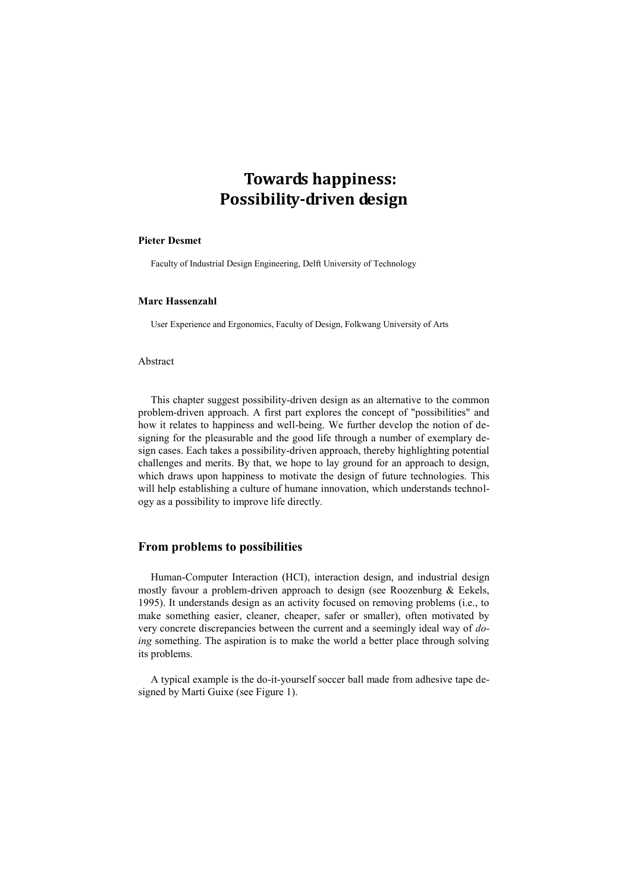# **Towards happiness: Possibility-driven design**

### **Pieter Desmet**

Faculty of Industrial Design Engineering, Delft University of Technology

#### **Marc Hassenzahl**

User Experience and Ergonomics, Faculty of Design, Folkwang University of Arts

#### Abstract

This chapter suggest possibility-driven design as an alternative to the common problem-driven approach. A first part explores the concept of "possibilities" and how it relates to happiness and well-being. We further develop the notion of designing for the pleasurable and the good life through a number of exemplary design cases. Each takes a possibility-driven approach, thereby highlighting potential challenges and merits. By that, we hope to lay ground for an approach to design, which draws upon happiness to motivate the design of future technologies. This will help establishing a culture of humane innovation, which understands technology as a possibility to improve life directly.

### **From problems to possibilities**

Human-Computer Interaction (HCI), interaction design, and industrial design mostly favour a problem-driven approach to design (see Roozenburg & Eekels, 1995). It understands design as an activity focused on removing problems (i.e., to make something easier, cleaner, cheaper, safer or smaller), often motivated by very concrete discrepancies between the current and a seemingly ideal way of *doing* something. The aspiration is to make the world a better place through solving its problems.

A typical example is the do-it-yourself soccer ball made from adhesive tape designed by Marti Guixe (see Figure 1).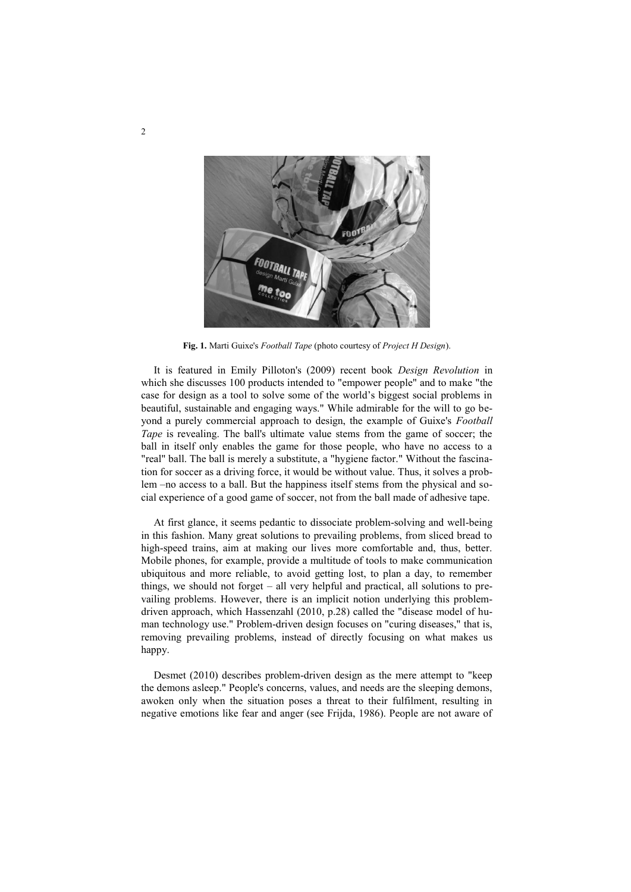

**Fig. 1.** Marti Guixe's *Football Tape* (photo courtesy of *Project H Design*).

It is featured in Emily Pilloton's (2009) recent book *Design Revolution* in which she discusses 100 products intended to "empower people" and to make "the case for design as a tool to solve some of the world"s biggest social problems in beautiful, sustainable and engaging ways." While admirable for the will to go beyond a purely commercial approach to design, the example of Guixe's *Football Tape* is revealing. The ball's ultimate value stems from the game of soccer; the ball in itself only enables the game for those people, who have no access to a "real" ball. The ball is merely a substitute, a "hygiene factor." Without the fascination for soccer as a driving force, it would be without value. Thus, it solves a problem –no access to a ball. But the happiness itself stems from the physical and social experience of a good game of soccer, not from the ball made of adhesive tape.

At first glance, it seems pedantic to dissociate problem-solving and well-being in this fashion. Many great solutions to prevailing problems, from sliced bread to high-speed trains, aim at making our lives more comfortable and, thus, better. Mobile phones, for example, provide a multitude of tools to make communication ubiquitous and more reliable, to avoid getting lost, to plan a day, to remember things, we should not forget – all very helpful and practical, all solutions to prevailing problems. However, there is an implicit notion underlying this problemdriven approach, which Hassenzahl (2010, p.28) called the "disease model of human technology use." Problem-driven design focuses on "curing diseases," that is, removing prevailing problems, instead of directly focusing on what makes us happy.

Desmet (2010) describes problem-driven design as the mere attempt to "keep the demons asleep." People's concerns, values, and needs are the sleeping demons, awoken only when the situation poses a threat to their fulfilment, resulting in negative emotions like fear and anger (see Frijda, 1986). People are not aware of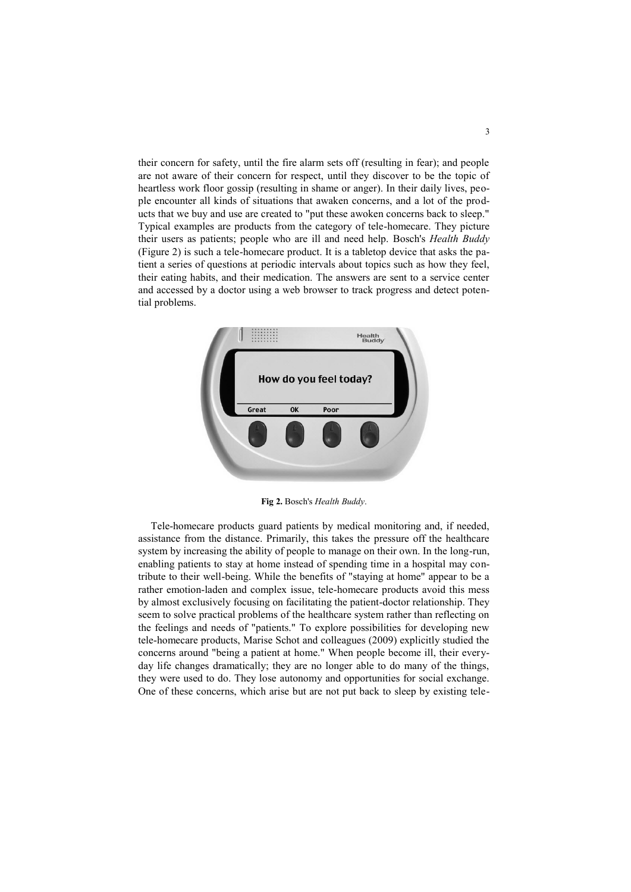their concern for safety, until the fire alarm sets off (resulting in fear); and people are not aware of their concern for respect, until they discover to be the topic of heartless work floor gossip (resulting in shame or anger). In their daily lives, people encounter all kinds of situations that awaken concerns, and a lot of the products that we buy and use are created to "put these awoken concerns back to sleep." Typical examples are products from the category of tele-homecare. They picture their users as patients; people who are ill and need help. Bosch's *Health Buddy* (Figure 2) is such a tele-homecare product. It is a tabletop device that asks the patient a series of questions at periodic intervals about topics such as how they feel, their eating habits, and their medication. The answers are sent to a service center and accessed by a doctor using a web browser to track progress and detect potential problems.



**Fig 2.** Bosch's *Health Buddy*.

Tele-homecare products guard patients by medical monitoring and, if needed, assistance from the distance. Primarily, this takes the pressure off the healthcare system by increasing the ability of people to manage on their own. In the long-run, enabling patients to stay at home instead of spending time in a hospital may contribute to their well-being. While the benefits of "staying at home" appear to be a rather emotion-laden and complex issue, tele-homecare products avoid this mess by almost exclusively focusing on facilitating the patient-doctor relationship. They seem to solve practical problems of the healthcare system rather than reflecting on the feelings and needs of "patients." To explore possibilities for developing new tele-homecare products, Marise Schot and colleagues (2009) explicitly studied the concerns around "being a patient at home." When people become ill, their everyday life changes dramatically; they are no longer able to do many of the things, they were used to do. They lose autonomy and opportunities for social exchange. One of these concerns, which arise but are not put back to sleep by existing tele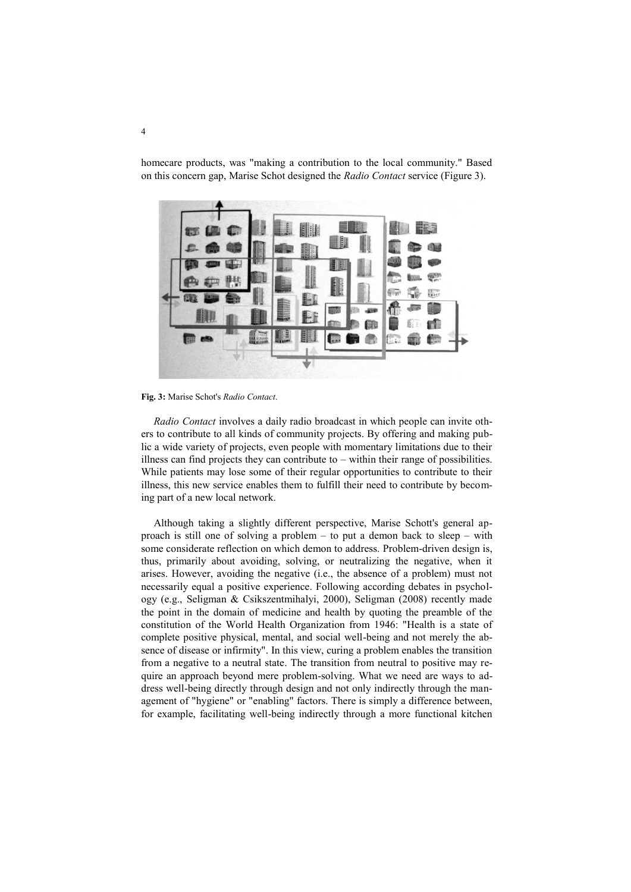homecare products, was "making a contribution to the local community." Based on this concern gap, Marise Schot designed the *Radio Contact* service (Figure 3).



**Fig. 3:** Marise Schot's *Radio Contact*.

*Radio Contact* involves a daily radio broadcast in which people can invite others to contribute to all kinds of community projects. By offering and making public a wide variety of projects, even people with momentary limitations due to their illness can find projects they can contribute to – within their range of possibilities. While patients may lose some of their regular opportunities to contribute to their illness, this new service enables them to fulfill their need to contribute by becoming part of a new local network.

Although taking a slightly different perspective, Marise Schott's general approach is still one of solving a problem – to put a demon back to sleep – with some considerate reflection on which demon to address. Problem-driven design is, thus, primarily about avoiding, solving, or neutralizing the negative, when it arises. However, avoiding the negative (i.e., the absence of a problem) must not necessarily equal a positive experience. Following according debates in psychology (e.g., Seligman & Csikszentmihalyi, 2000), Seligman (2008) recently made the point in the domain of medicine and health by quoting the preamble of the constitution of the World Health Organization from 1946: "Health is a state of complete positive physical, mental, and social well-being and not merely the absence of disease or infirmity". In this view, curing a problem enables the transition from a negative to a neutral state. The transition from neutral to positive may require an approach beyond mere problem-solving. What we need are ways to address well-being directly through design and not only indirectly through the management of "hygiene" or "enabling" factors. There is simply a difference between, for example, facilitating well-being indirectly through a more functional kitchen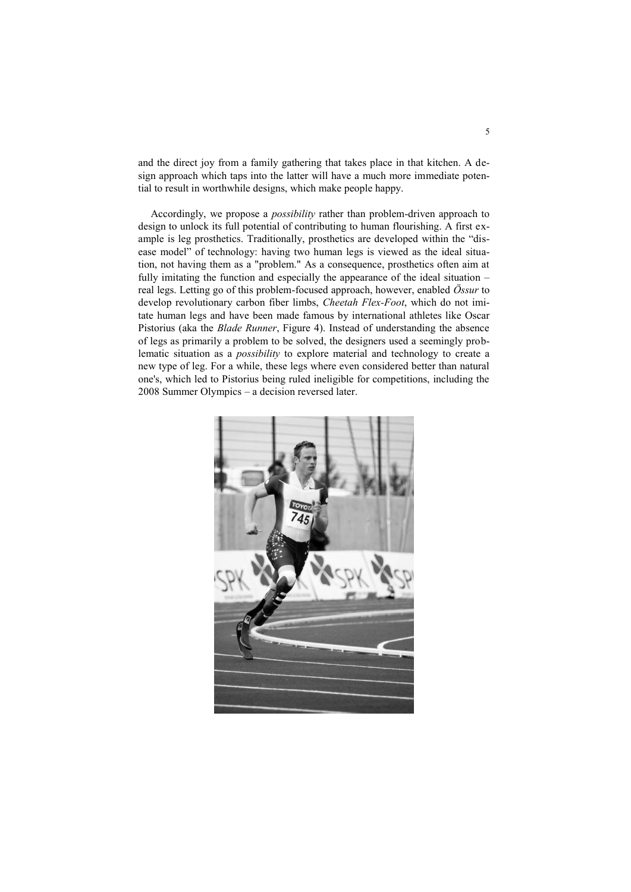and the direct joy from a family gathering that takes place in that kitchen. A design approach which taps into the latter will have a much more immediate potential to result in worthwhile designs, which make people happy.

Accordingly, we propose a *possibility* rather than problem-driven approach to design to unlock its full potential of contributing to human flourishing. A first example is leg prosthetics. Traditionally, prosthetics are developed within the "disease model" of technology: having two human legs is viewed as the ideal situation, not having them as a "problem." As a consequence, prosthetics often aim at fully imitating the function and especially the appearance of the ideal situation – real legs. Letting go of this problem-focused approach, however, enabled *Össur* to develop revolutionary carbon fiber limbs, *Cheetah Flex-Foot*, which do not imitate human legs and have been made famous by international athletes like Oscar Pistorius (aka the *Blade Runner*, Figure 4). Instead of understanding the absence of legs as primarily a problem to be solved, the designers used a seemingly problematic situation as a *possibility* to explore material and technology to create a new type of leg. For a while, these legs where even considered better than natural one's, which led to Pistorius being ruled ineligible for competitions, including the 2008 Summer Olympics – a decision reversed later.

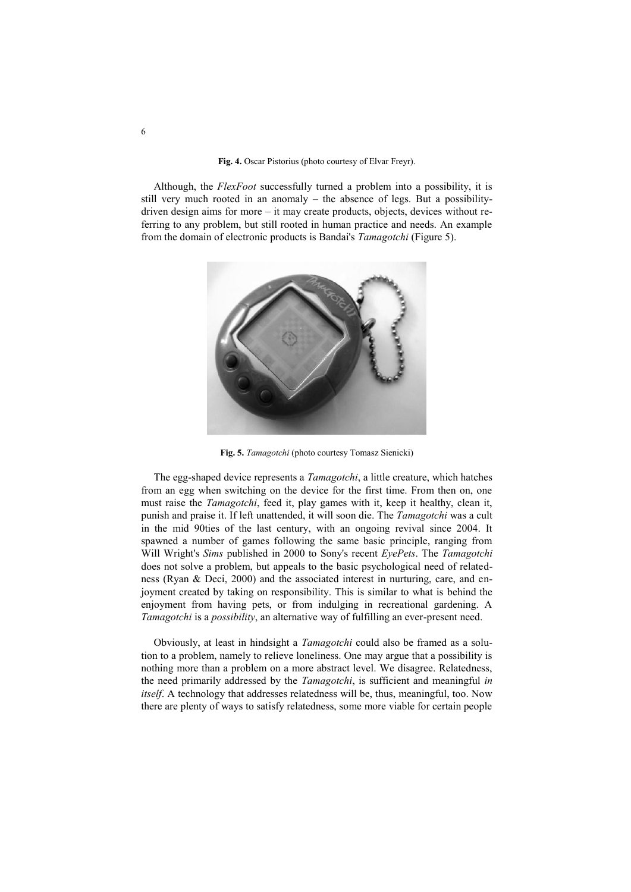#### **Fig. 4.** Oscar Pistorius (photo courtesy of Elvar Freyr).

Although, the *FlexFoot* successfully turned a problem into a possibility, it is still very much rooted in an anomaly – the absence of legs. But a possibilitydriven design aims for more – it may create products, objects, devices without referring to any problem, but still rooted in human practice and needs. An example from the domain of electronic products is Bandai's *Tamagotchi* (Figure 5).



**Fig. 5.** *Tamagotchi* (photo courtesy Tomasz Sienicki)

The egg-shaped device represents a *Tamagotchi*, a little creature, which hatches from an egg when switching on the device for the first time. From then on, one must raise the *Tamagotchi*, feed it, play games with it, keep it healthy, clean it, punish and praise it. If left unattended, it will soon die. The *Tamagotchi* was a cult in the mid 90ties of the last century, with an ongoing revival since 2004. It spawned a number of games following the same basic principle, ranging from Will Wright's *Sims* published in 2000 to Sony's recent *EyePets*. The *Tamagotchi* does not solve a problem, but appeals to the basic psychological need of relatedness (Ryan & Deci, 2000) and the associated interest in nurturing, care, and enjoyment created by taking on responsibility. This is similar to what is behind the enjoyment from having pets, or from indulging in recreational gardening. A *Tamagotchi* is a *possibility*, an alternative way of fulfilling an ever-present need.

Obviously, at least in hindsight a *Tamagotchi* could also be framed as a solution to a problem, namely to relieve loneliness. One may argue that a possibility is nothing more than a problem on a more abstract level. We disagree. Relatedness, the need primarily addressed by the *Tamagotchi*, is sufficient and meaningful *in itself*. A technology that addresses relatedness will be, thus, meaningful, too. Now there are plenty of ways to satisfy relatedness, some more viable for certain people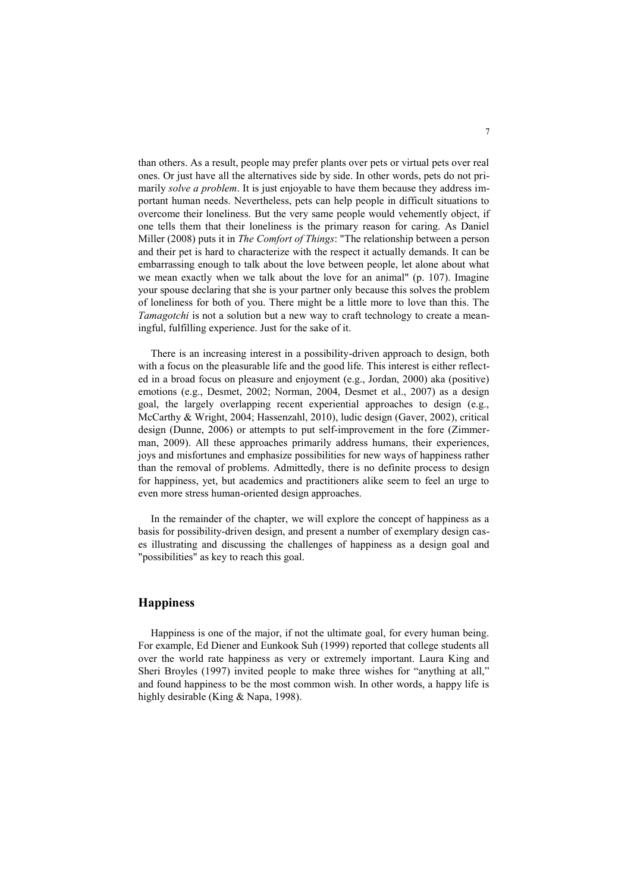than others. As a result, people may prefer plants over pets or virtual pets over real ones. Or just have all the alternatives side by side. In other words, pets do not primarily *solve a problem*. It is just enjoyable to have them because they address important human needs. Nevertheless, pets can help people in difficult situations to overcome their loneliness. But the very same people would vehemently object, if one tells them that their loneliness is the primary reason for caring. As Daniel Miller (2008) puts it in *The Comfort of Things*: "The relationship between a person and their pet is hard to characterize with the respect it actually demands. It can be embarrassing enough to talk about the love between people, let alone about what we mean exactly when we talk about the love for an animal" (p. 107). Imagine your spouse declaring that she is your partner only because this solves the problem of loneliness for both of you. There might be a little more to love than this. The *Tamagotchi* is not a solution but a new way to craft technology to create a meaningful, fulfilling experience. Just for the sake of it.

There is an increasing interest in a possibility-driven approach to design, both with a focus on the pleasurable life and the good life. This interest is either reflected in a broad focus on pleasure and enjoyment (e.g., Jordan, 2000) aka (positive) emotions (e.g., Desmet, 2002; Norman, 2004, Desmet et al., 2007) as a design goal, the largely overlapping recent experiential approaches to design (e.g., McCarthy & Wright, 2004; Hassenzahl, 2010), ludic design (Gaver, 2002), critical design (Dunne, 2006) or attempts to put self-improvement in the fore (Zimmerman, 2009). All these approaches primarily address humans, their experiences, joys and misfortunes and emphasize possibilities for new ways of happiness rather than the removal of problems. Admittedly, there is no definite process to design for happiness, yet, but academics and practitioners alike seem to feel an urge to even more stress human-oriented design approaches.

In the remainder of the chapter, we will explore the concept of happiness as a basis for possibility-driven design, and present a number of exemplary design cases illustrating and discussing the challenges of happiness as a design goal and "possibilities" as key to reach this goal.

### **Happiness**

Happiness is one of the major, if not the ultimate goal, for every human being. For example, Ed Diener and Eunkook Suh (1999) reported that college students all over the world rate happiness as very or extremely important. Laura King and Sheri Broyles (1997) invited people to make three wishes for "anything at all," and found happiness to be the most common wish. In other words, a happy life is highly desirable (King & Napa, 1998).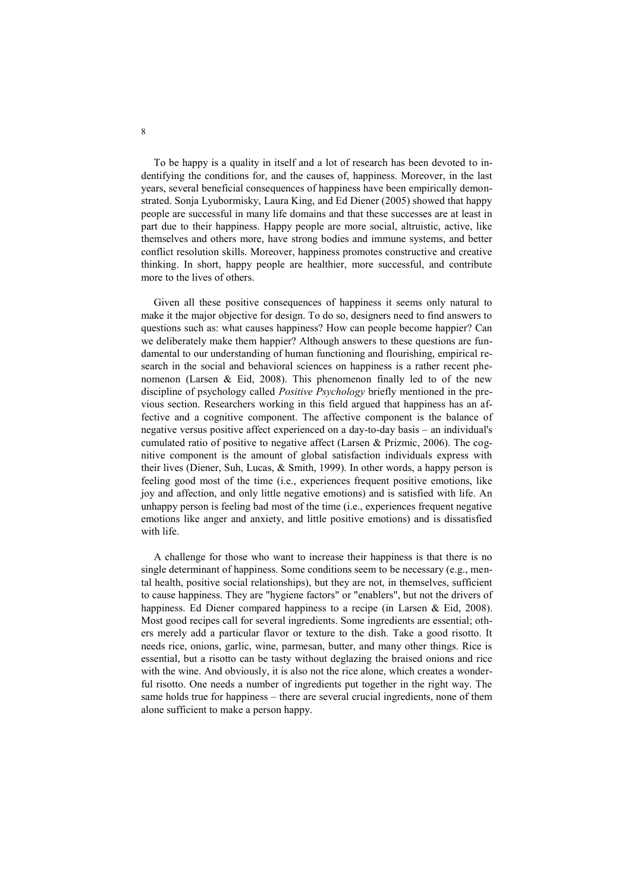To be happy is a quality in itself and a lot of research has been devoted to indentifying the conditions for, and the causes of, happiness. Moreover, in the last years, several beneficial consequences of happiness have been empirically demonstrated. Sonja Lyubormisky, Laura King, and Ed Diener (2005) showed that happy people are successful in many life domains and that these successes are at least in part due to their happiness. Happy people are more social, altruistic, active, like themselves and others more, have strong bodies and immune systems, and better conflict resolution skills. Moreover, happiness promotes constructive and creative thinking. In short, happy people are healthier, more successful, and contribute more to the lives of others.

Given all these positive consequences of happiness it seems only natural to make it the major objective for design. To do so, designers need to find answers to questions such as: what causes happiness? How can people become happier? Can we deliberately make them happier? Although answers to these questions are fundamental to our understanding of human functioning and flourishing, empirical research in the social and behavioral sciences on happiness is a rather recent phenomenon (Larsen & Eid, 2008). This phenomenon finally led to of the new discipline of psychology called *Positive Psychology* briefly mentioned in the previous section. Researchers working in this field argued that happiness has an affective and a cognitive component. The affective component is the balance of negative versus positive affect experienced on a day-to-day basis – an individual's cumulated ratio of positive to negative affect (Larsen & Prizmic, 2006). The cognitive component is the amount of global satisfaction individuals express with their lives (Diener, Suh, Lucas, & Smith, 1999). In other words, a happy person is feeling good most of the time (i.e., experiences frequent positive emotions, like joy and affection, and only little negative emotions) and is satisfied with life. An unhappy person is feeling bad most of the time (i.e., experiences frequent negative emotions like anger and anxiety, and little positive emotions) and is dissatisfied with life.

A challenge for those who want to increase their happiness is that there is no single determinant of happiness. Some conditions seem to be necessary (e.g., mental health, positive social relationships), but they are not, in themselves, sufficient to cause happiness. They are "hygiene factors" or "enablers", but not the drivers of happiness. Ed Diener compared happiness to a recipe (in Larsen & Eid, 2008). Most good recipes call for several ingredients. Some ingredients are essential; others merely add a particular flavor or texture to the dish. Take a good risotto. It needs rice, onions, garlic, wine, parmesan, butter, and many other things. Rice is essential, but a risotto can be tasty without deglazing the braised onions and rice with the wine. And obviously, it is also not the rice alone, which creates a wonderful risotto. One needs a number of ingredients put together in the right way. The same holds true for happiness – there are several crucial ingredients, none of them alone sufficient to make a person happy.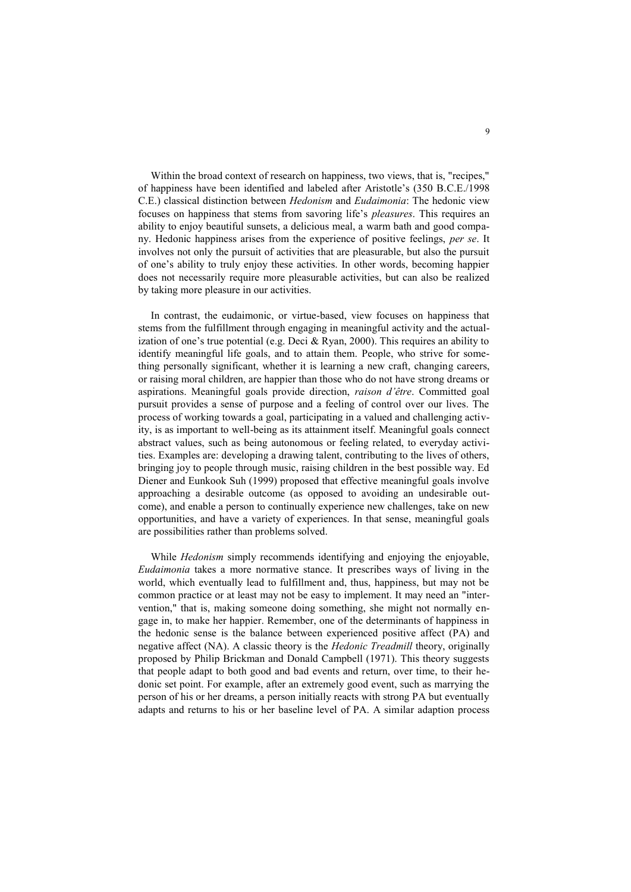Within the broad context of research on happiness, two views, that is, "recipes," of happiness have been identified and labeled after Aristotle"s (350 B.C.E./1998 C.E.) classical distinction between *Hedonism* and *Eudaimonia*: The hedonic view focuses on happiness that stems from savoring life"s *pleasures*. This requires an ability to enjoy beautiful sunsets, a delicious meal, a warm bath and good company. Hedonic happiness arises from the experience of positive feelings, *per se*. It involves not only the pursuit of activities that are pleasurable, but also the pursuit of one"s ability to truly enjoy these activities. In other words, becoming happier does not necessarily require more pleasurable activities, but can also be realized by taking more pleasure in our activities.

In contrast, the eudaimonic, or virtue-based, view focuses on happiness that stems from the fulfillment through engaging in meaningful activity and the actualization of one"s true potential (e.g. Deci & Ryan, 2000). This requires an ability to identify meaningful life goals, and to attain them. People, who strive for something personally significant, whether it is learning a new craft, changing careers, or raising moral children, are happier than those who do not have strong dreams or aspirations. Meaningful goals provide direction, *raison d'être*. Committed goal pursuit provides a sense of purpose and a feeling of control over our lives. The process of working towards a goal, participating in a valued and challenging activity, is as important to well-being as its attainment itself. Meaningful goals connect abstract values, such as being autonomous or feeling related, to everyday activities. Examples are: developing a drawing talent, contributing to the lives of others, bringing joy to people through music, raising children in the best possible way. Ed Diener and Eunkook Suh (1999) proposed that effective meaningful goals involve approaching a desirable outcome (as opposed to avoiding an undesirable outcome), and enable a person to continually experience new challenges, take on new opportunities, and have a variety of experiences. In that sense, meaningful goals are possibilities rather than problems solved.

While *Hedonism* simply recommends identifying and enjoying the enjoyable, *Eudaimonia* takes a more normative stance. It prescribes ways of living in the world, which eventually lead to fulfillment and, thus, happiness, but may not be common practice or at least may not be easy to implement. It may need an "intervention," that is, making someone doing something, she might not normally engage in, to make her happier. Remember, one of the determinants of happiness in the hedonic sense is the balance between experienced positive affect (PA) and negative affect (NA). A classic theory is the *Hedonic Treadmill* theory, originally proposed by Philip Brickman and Donald Campbell (1971). This theory suggests that people adapt to both good and bad events and return, over time, to their hedonic set point. For example, after an extremely good event, such as marrying the person of his or her dreams, a person initially reacts with strong PA but eventually adapts and returns to his or her baseline level of PA. A similar adaption process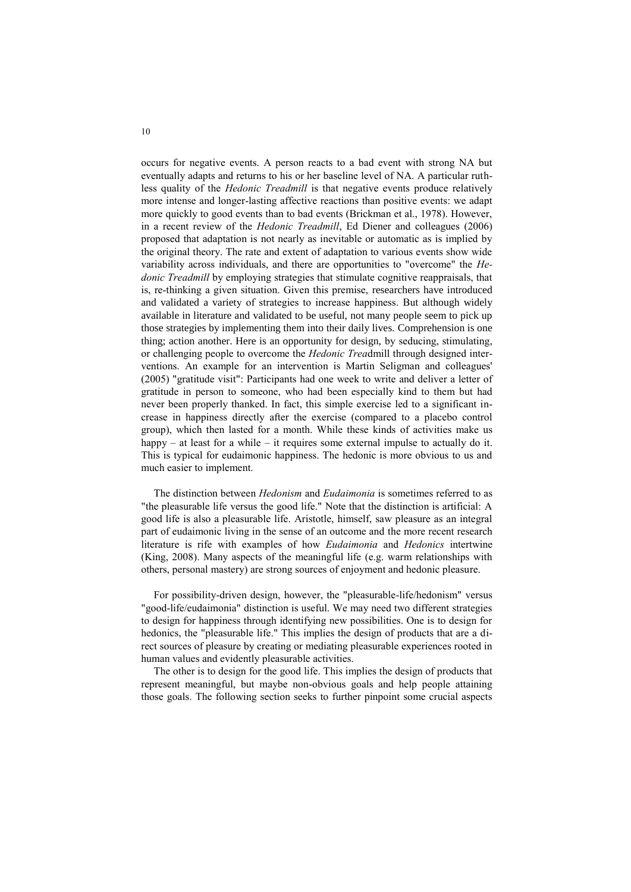occurs for negative events. A person reacts to a bad event with strong NA but eventually adapts and returns to his or her baseline level of NA. A particular ruthless quality of the *Hedonic Treadmill* is that negative events produce relatively more intense and longer-lasting affective reactions than positive events: we adapt more quickly to good events than to bad events (Brickman et al., 1978). However, in a recent review of the *Hedonic Treadmill*, Ed Diener and colleagues (2006) proposed that adaptation is not nearly as inevitable or automatic as is implied by the original theory. The rate and extent of adaptation to various events show wide variability across individuals, and there are opportunities to "overcome" the *Hedonic Treadmill* by employing strategies that stimulate cognitive reappraisals, that is, re-thinking a given situation. Given this premise, researchers have introduced and validated a variety of strategies to increase happiness. But although widely available in literature and validated to be useful, not many people seem to pick up those strategies by implementing them into their daily lives. Comprehension is one thing; action another. Here is an opportunity for design, by seducing, stimulating, or challenging people to overcome the *Hedonic Trea*dmill through designed interventions. An example for an intervention is Martin Seligman and colleagues' (2005) "gratitude visit": Participants had one week to write and deliver a letter of gratitude in person to someone, who had been especially kind to them but had never been properly thanked. In fact, this simple exercise led to a significant increase in happiness directly after the exercise (compared to a placebo control group), which then lasted for a month. While these kinds of activities make us happy – at least for a while – it requires some external impulse to actually do it. This is typical for eudaimonic happiness. The hedonic is more obvious to us and much easier to implement.

The distinction between *Hedonism* and *Eudaimonia* is sometimes referred to as "the pleasurable life versus the good life." Note that the distinction is artificial: A good life is also a pleasurable life. Aristotle, himself, saw pleasure as an integral part of eudaimonic living in the sense of an outcome and the more recent research literature is rife with examples of how *Eudaimonia* and *Hedonics* intertwine (King, 2008). Many aspects of the meaningful life (e.g. warm relationships with others, personal mastery) are strong sources of enjoyment and hedonic pleasure.

For possibility-driven design, however, the "pleasurable-life/hedonism" versus "good-life/eudaimonia" distinction is useful. We may need two different strategies to design for happiness through identifying new possibilities. One is to design for hedonics, the "pleasurable life." This implies the design of products that are a direct sources of pleasure by creating or mediating pleasurable experiences rooted in human values and evidently pleasurable activities.

The other is to design for the good life. This implies the design of products that represent meaningful, but maybe non-obvious goals and help people attaining those goals. The following section seeks to further pinpoint some crucial aspects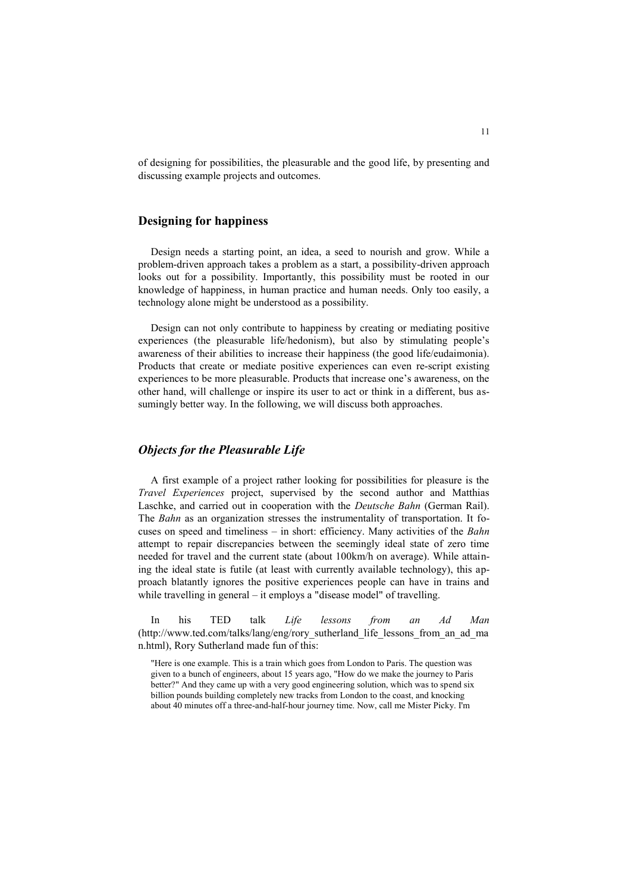of designing for possibilities, the pleasurable and the good life, by presenting and discussing example projects and outcomes.

# **Designing for happiness**

Design needs a starting point, an idea, a seed to nourish and grow. While a problem-driven approach takes a problem as a start, a possibility-driven approach looks out for a possibility. Importantly, this possibility must be rooted in our knowledge of happiness, in human practice and human needs. Only too easily, a technology alone might be understood as a possibility.

Design can not only contribute to happiness by creating or mediating positive experiences (the pleasurable life/hedonism), but also by stimulating people"s awareness of their abilities to increase their happiness (the good life/eudaimonia). Products that create or mediate positive experiences can even re-script existing experiences to be more pleasurable. Products that increase one's awareness, on the other hand, will challenge or inspire its user to act or think in a different, bus assumingly better way. In the following, we will discuss both approaches.

# *Objects for the Pleasurable Life*

A first example of a project rather looking for possibilities for pleasure is the *Travel Experiences* project, supervised by the second author and Matthias Laschke, and carried out in cooperation with the *Deutsche Bahn* (German Rail). The *Bahn* as an organization stresses the instrumentality of transportation. It focuses on speed and timeliness – in short: efficiency. Many activities of the *Bahn* attempt to repair discrepancies between the seemingly ideal state of zero time needed for travel and the current state (about 100km/h on average). While attaining the ideal state is futile (at least with currently available technology), this approach blatantly ignores the positive experiences people can have in trains and while travelling in general – it employs a "disease model" of travelling.

In his TED talk *Life lessons from an Ad Man* (http://www.ted.com/talks/lang/eng/rory\_sutherland\_life\_lessons\_from\_an\_ad\_ma n.html), Rory Sutherland made fun of this:

"Here is one example. This is a train which goes from London to Paris. The question was given to a bunch of engineers, about 15 years ago, "How do we make the journey to Paris better?" And they came up with a very good engineering solution, which was to spend six billion pounds building completely new tracks from London to the coast, and knocking about 40 minutes off a three-and-half-hour journey time. Now, call me Mister Picky. I'm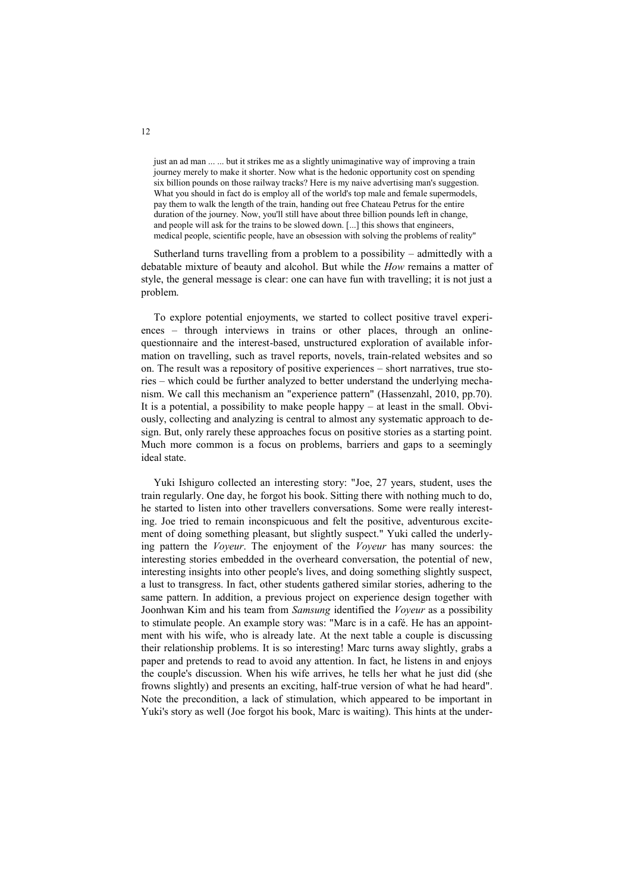just an ad man ... ... but it strikes me as a slightly unimaginative way of improving a train journey merely to make it shorter. Now what is the hedonic opportunity cost on spending six billion pounds on those railway tracks? Here is my naive advertising man's suggestion. What you should in fact do is employ all of the world's top male and female supermodels, pay them to walk the length of the train, handing out free Chateau Petrus for the entire duration of the journey. Now, you'll still have about three billion pounds left in change, and people will ask for the trains to be slowed down. [...] this shows that engineers, medical people, scientific people, have an obsession with solving the problems of reality"

Sutherland turns travelling from a problem to a possibility – admittedly with a debatable mixture of beauty and alcohol. But while the *How* remains a matter of style, the general message is clear: one can have fun with travelling; it is not just a problem.

To explore potential enjoyments, we started to collect positive travel experiences – through interviews in trains or other places, through an onlinequestionnaire and the interest-based, unstructured exploration of available information on travelling, such as travel reports, novels, train-related websites and so on. The result was a repository of positive experiences – short narratives, true stories – which could be further analyzed to better understand the underlying mechanism. We call this mechanism an "experience pattern" (Hassenzahl, 2010, pp.70). It is a potential, a possibility to make people happy – at least in the small. Obviously, collecting and analyzing is central to almost any systematic approach to design. But, only rarely these approaches focus on positive stories as a starting point. Much more common is a focus on problems, barriers and gaps to a seemingly ideal state.

Yuki Ishiguro collected an interesting story: "Joe, 27 years, student, uses the train regularly. One day, he forgot his book. Sitting there with nothing much to do, he started to listen into other travellers conversations. Some were really interesting. Joe tried to remain inconspicuous and felt the positive, adventurous excitement of doing something pleasant, but slightly suspect." Yuki called the underlying pattern the *Voyeur*. The enjoyment of the *Voyeur* has many sources: the interesting stories embedded in the overheard conversation, the potential of new, interesting insights into other people's lives, and doing something slightly suspect, a lust to transgress. In fact, other students gathered similar stories, adhering to the same pattern. In addition, a previous project on experience design together with Joonhwan Kim and his team from *Samsung* identified the *Voyeur* as a possibility to stimulate people. An example story was: "Marc is in a café. He has an appointment with his wife, who is already late. At the next table a couple is discussing their relationship problems. It is so interesting! Marc turns away slightly, grabs a paper and pretends to read to avoid any attention. In fact, he listens in and enjoys the couple's discussion. When his wife arrives, he tells her what he just did (she frowns slightly) and presents an exciting, half-true version of what he had heard". Note the precondition, a lack of stimulation, which appeared to be important in Yuki's story as well (Joe forgot his book, Marc is waiting). This hints at the under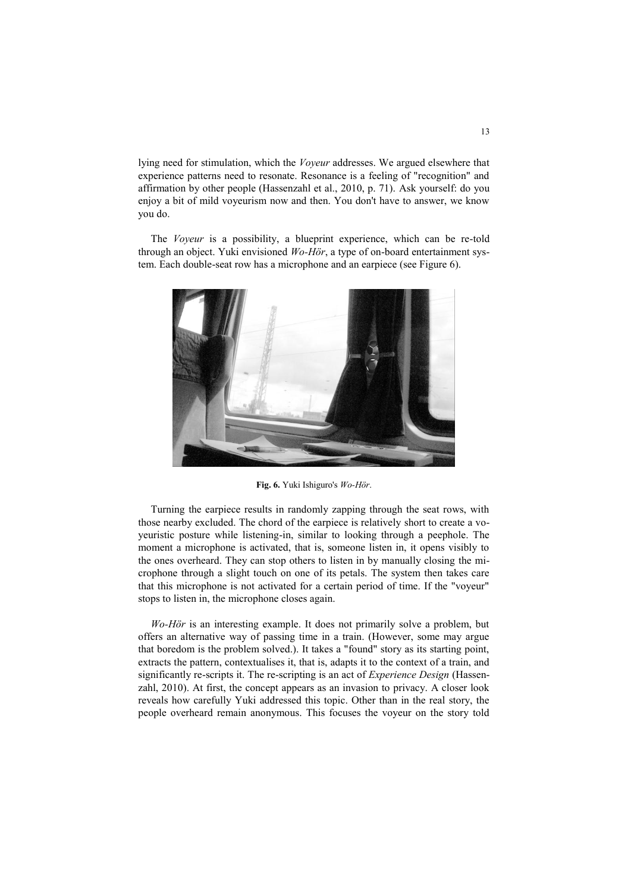lying need for stimulation, which the *Voyeur* addresses. We argued elsewhere that experience patterns need to resonate. Resonance is a feeling of "recognition" and affirmation by other people (Hassenzahl et al., 2010, p. 71). Ask yourself: do you enjoy a bit of mild voyeurism now and then. You don't have to answer, we know you do.

The *Voyeur* is a possibility, a blueprint experience, which can be re-told through an object. Yuki envisioned *Wo-Hör*, a type of on-board entertainment system. Each double-seat row has a microphone and an earpiece (see Figure 6).



**Fig. 6.** Yuki Ishiguro's *Wo-Hör*.

Turning the earpiece results in randomly zapping through the seat rows, with those nearby excluded. The chord of the earpiece is relatively short to create a voyeuristic posture while listening-in, similar to looking through a peephole. The moment a microphone is activated, that is, someone listen in, it opens visibly to the ones overheard. They can stop others to listen in by manually closing the microphone through a slight touch on one of its petals. The system then takes care that this microphone is not activated for a certain period of time. If the "voyeur" stops to listen in, the microphone closes again.

*Wo-Hör* is an interesting example. It does not primarily solve a problem, but offers an alternative way of passing time in a train. (However, some may argue that boredom is the problem solved.). It takes a "found" story as its starting point, extracts the pattern, contextualises it, that is, adapts it to the context of a train, and significantly re-scripts it. The re-scripting is an act of *Experience Design* (Hassenzahl, 2010). At first, the concept appears as an invasion to privacy. A closer look reveals how carefully Yuki addressed this topic. Other than in the real story, the people overheard remain anonymous. This focuses the voyeur on the story told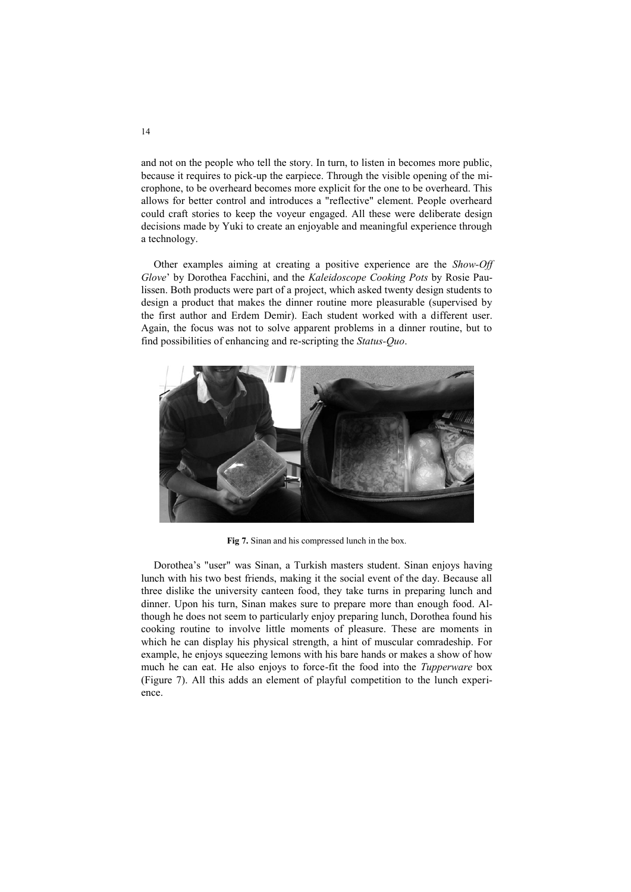and not on the people who tell the story. In turn, to listen in becomes more public, because it requires to pick-up the earpiece. Through the visible opening of the microphone, to be overheard becomes more explicit for the one to be overheard. This allows for better control and introduces a "reflective" element. People overheard could craft stories to keep the voyeur engaged. All these were deliberate design decisions made by Yuki to create an enjoyable and meaningful experience through a technology.

Other examples aiming at creating a positive experience are the *Show-Off Glove*" by Dorothea Facchini, and the *Kaleidoscope Cooking Pots* by Rosie Paulissen. Both products were part of a project, which asked twenty design students to design a product that makes the dinner routine more pleasurable (supervised by the first author and Erdem Demir). Each student worked with a different user. Again, the focus was not to solve apparent problems in a dinner routine, but to find possibilities of enhancing and re-scripting the *Status-Quo*.



**Fig 7.** Sinan and his compressed lunch in the box.

Dorothea"s "user" was Sinan, a Turkish masters student. Sinan enjoys having lunch with his two best friends, making it the social event of the day. Because all three dislike the university canteen food, they take turns in preparing lunch and dinner. Upon his turn, Sinan makes sure to prepare more than enough food. Although he does not seem to particularly enjoy preparing lunch, Dorothea found his cooking routine to involve little moments of pleasure. These are moments in which he can display his physical strength, a hint of muscular comradeship. For example, he enjoys squeezing lemons with his bare hands or makes a show of how much he can eat. He also enjoys to force-fit the food into the *Tupperware* box (Figure 7). All this adds an element of playful competition to the lunch experience.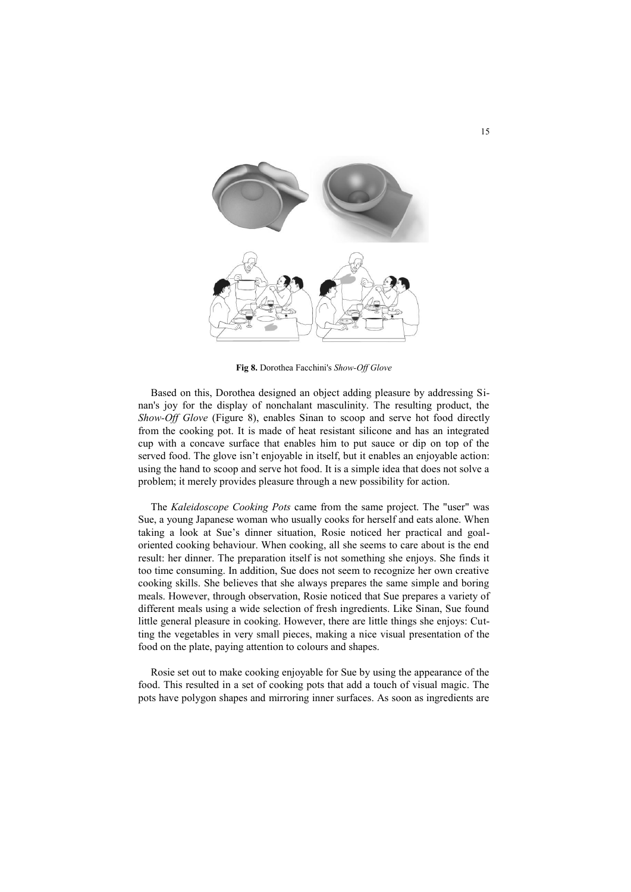

**Fig 8.** Dorothea Facchini's *Show-Off Glove*

Based on this, Dorothea designed an object adding pleasure by addressing Sinan's joy for the display of nonchalant masculinity. The resulting product, the *Show-Off Glove* (Figure 8), enables Sinan to scoop and serve hot food directly from the cooking pot. It is made of heat resistant silicone and has an integrated cup with a concave surface that enables him to put sauce or dip on top of the served food. The glove isn't enjoyable in itself, but it enables an enjoyable action: using the hand to scoop and serve hot food. It is a simple idea that does not solve a problem; it merely provides pleasure through a new possibility for action.

The *Kaleidoscope Cooking Pots* came from the same project. The "user" was Sue, a young Japanese woman who usually cooks for herself and eats alone. When taking a look at Sue's dinner situation, Rosie noticed her practical and goaloriented cooking behaviour. When cooking, all she seems to care about is the end result: her dinner. The preparation itself is not something she enjoys. She finds it too time consuming. In addition, Sue does not seem to recognize her own creative cooking skills. She believes that she always prepares the same simple and boring meals. However, through observation, Rosie noticed that Sue prepares a variety of different meals using a wide selection of fresh ingredients. Like Sinan, Sue found little general pleasure in cooking. However, there are little things she enjoys: Cutting the vegetables in very small pieces, making a nice visual presentation of the food on the plate, paying attention to colours and shapes.

Rosie set out to make cooking enjoyable for Sue by using the appearance of the food. This resulted in a set of cooking pots that add a touch of visual magic. The pots have polygon shapes and mirroring inner surfaces. As soon as ingredients are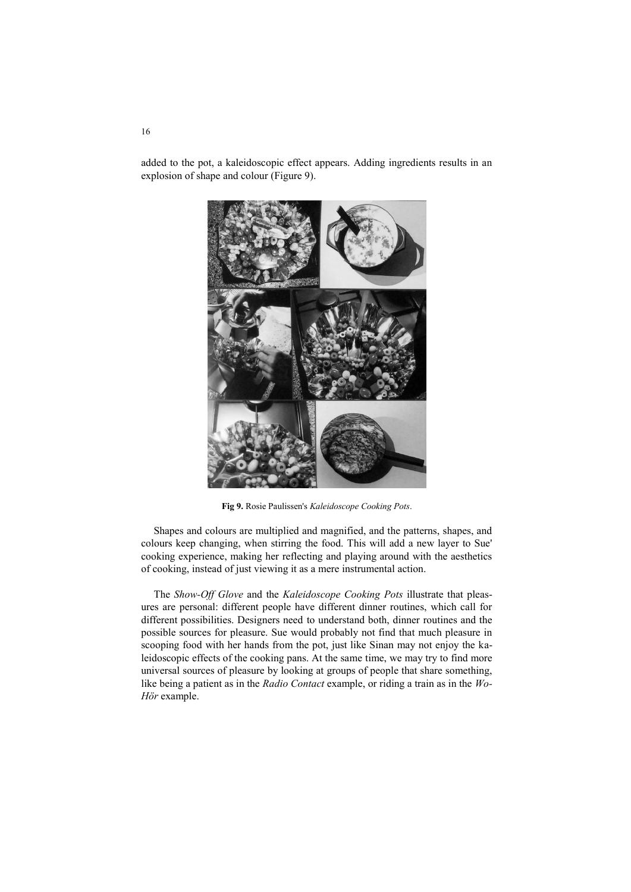added to the pot, a kaleidoscopic effect appears. Adding ingredients results in an explosion of shape and colour (Figure 9).



**Fig 9.** Rosie Paulissen's *Kaleidoscope Cooking Pots*.

Shapes and colours are multiplied and magnified, and the patterns, shapes, and colours keep changing, when stirring the food. This will add a new layer to Sue' cooking experience, making her reflecting and playing around with the aesthetics of cooking, instead of just viewing it as a mere instrumental action.

The *Show-Off Glove* and the *Kaleidoscope Cooking Pots* illustrate that pleasures are personal: different people have different dinner routines, which call for different possibilities. Designers need to understand both, dinner routines and the possible sources for pleasure. Sue would probably not find that much pleasure in scooping food with her hands from the pot, just like Sinan may not enjoy the kaleidoscopic effects of the cooking pans. At the same time, we may try to find more universal sources of pleasure by looking at groups of people that share something, like being a patient as in the *Radio Contact* example, or riding a train as in the *Wo-Hör* example.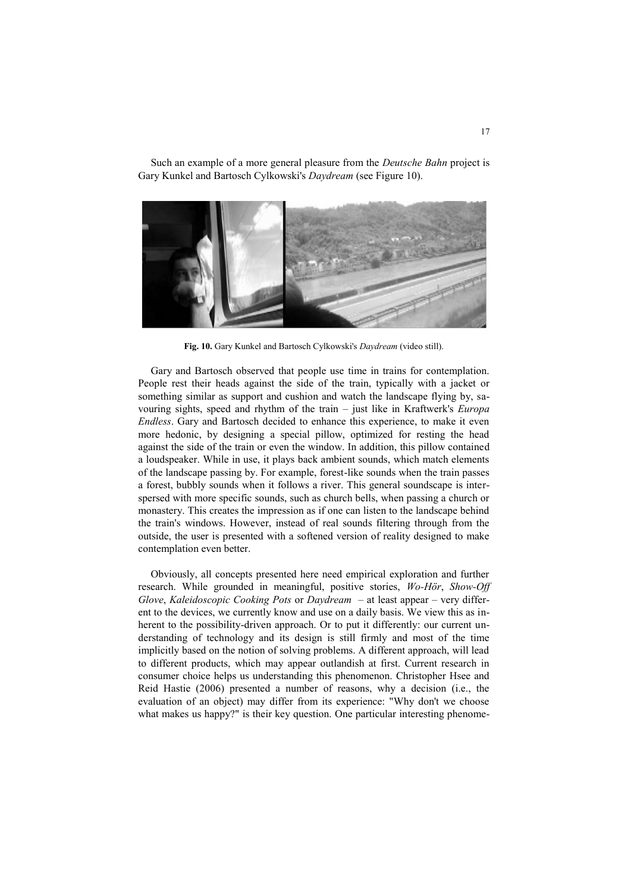Such an example of a more general pleasure from the *Deutsche Bahn* project is Gary Kunkel and Bartosch Cylkowski's *Daydream* (see Figure 10).



**Fig. 10.** Gary Kunkel and Bartosch Cylkowski's *Daydream* (video still).

Gary and Bartosch observed that people use time in trains for contemplation. People rest their heads against the side of the train, typically with a jacket or something similar as support and cushion and watch the landscape flying by, savouring sights, speed and rhythm of the train – just like in Kraftwerk's *Europa Endless*. Gary and Bartosch decided to enhance this experience, to make it even more hedonic, by designing a special pillow, optimized for resting the head against the side of the train or even the window. In addition, this pillow contained a loudspeaker. While in use, it plays back ambient sounds, which match elements of the landscape passing by. For example, forest-like sounds when the train passes a forest, bubbly sounds when it follows a river. This general soundscape is interspersed with more specific sounds, such as church bells, when passing a church or monastery. This creates the impression as if one can listen to the landscape behind the train's windows. However, instead of real sounds filtering through from the outside, the user is presented with a softened version of reality designed to make contemplation even better.

Obviously, all concepts presented here need empirical exploration and further research. While grounded in meaningful, positive stories, *Wo-Hör*, *Show-Off Glove*, *Kaleidoscopic Cooking Pots* or *Daydream* – at least appear – very different to the devices, we currently know and use on a daily basis. We view this as inherent to the possibility-driven approach. Or to put it differently: our current understanding of technology and its design is still firmly and most of the time implicitly based on the notion of solving problems. A different approach, will lead to different products, which may appear outlandish at first. Current research in consumer choice helps us understanding this phenomenon. Christopher Hsee and Reid Hastie (2006) presented a number of reasons, why a decision (i.e., the evaluation of an object) may differ from its experience: "Why don't we choose what makes us happy?" is their key question. One particular interesting phenome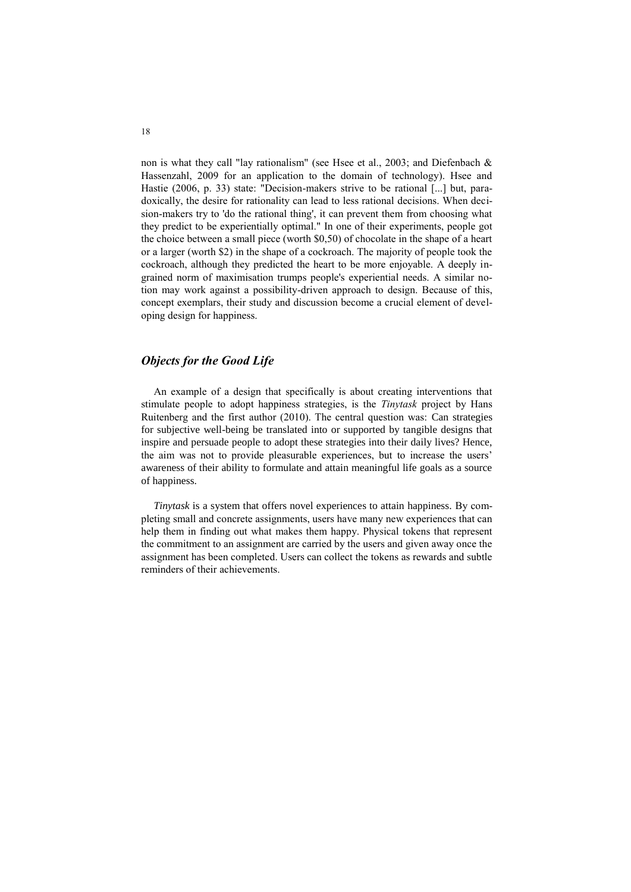non is what they call "lay rationalism" (see Hsee et al., 2003; and Diefenbach & Hassenzahl, 2009 for an application to the domain of technology). Hsee and Hastie (2006, p. 33) state: "Decision-makers strive to be rational [...] but, paradoxically, the desire for rationality can lead to less rational decisions. When decision-makers try to 'do the rational thing', it can prevent them from choosing what they predict to be experientially optimal." In one of their experiments, people got the choice between a small piece (worth \$0,50) of chocolate in the shape of a heart or a larger (worth \$2) in the shape of a cockroach. The majority of people took the cockroach, although they predicted the heart to be more enjoyable. A deeply ingrained norm of maximisation trumps people's experiential needs. A similar notion may work against a possibility-driven approach to design. Because of this, concept exemplars, their study and discussion become a crucial element of developing design for happiness.

## *Objects for the Good Life*

An example of a design that specifically is about creating interventions that stimulate people to adopt happiness strategies, is the *Tinytask* project by Hans Ruitenberg and the first author (2010). The central question was: Can strategies for subjective well-being be translated into or supported by tangible designs that inspire and persuade people to adopt these strategies into their daily lives? Hence, the aim was not to provide pleasurable experiences, but to increase the users' awareness of their ability to formulate and attain meaningful life goals as a source of happiness.

*Tinytask* is a system that offers novel experiences to attain happiness. By completing small and concrete assignments, users have many new experiences that can help them in finding out what makes them happy. Physical tokens that represent the commitment to an assignment are carried by the users and given away once the assignment has been completed. Users can collect the tokens as rewards and subtle reminders of their achievements.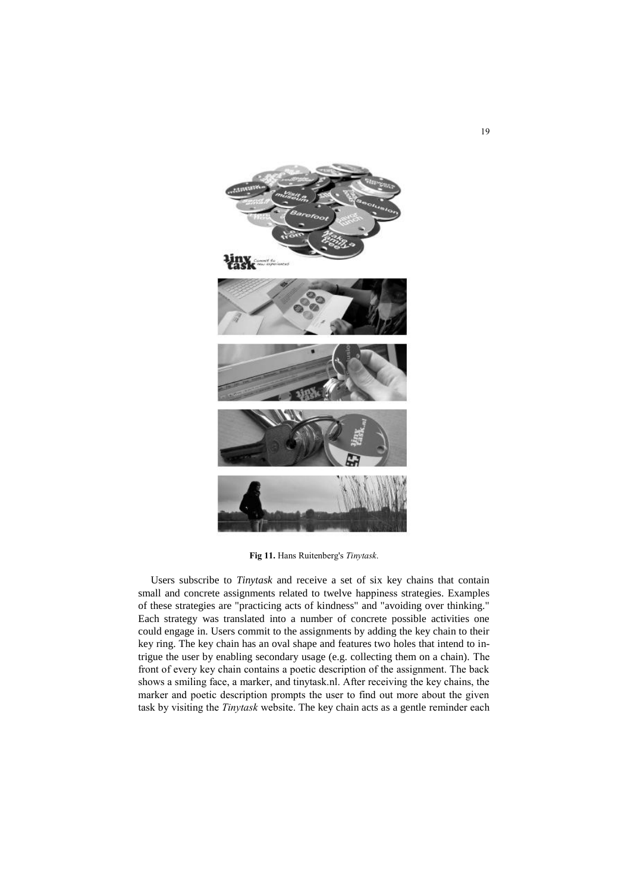

**Fig 11.** Hans Ruitenberg's *Tinytask*.

Users subscribe to *Tinytask* and receive a set of six key chains that contain small and concrete assignments related to twelve happiness strategies. Examples of these strategies are "practicing acts of kindness" and "avoiding over thinking." Each strategy was translated into a number of concrete possible activities one could engage in. Users commit to the assignments by adding the key chain to their key ring. The key chain has an oval shape and features two holes that intend to intrigue the user by enabling secondary usage (e.g. collecting them on a chain). The front of every key chain contains a poetic description of the assignment. The back shows a smiling face, a marker, and tinytask.nl. After receiving the key chains, the marker and poetic description prompts the user to find out more about the given task by visiting the *Tinytask* website. The key chain acts as a gentle reminder each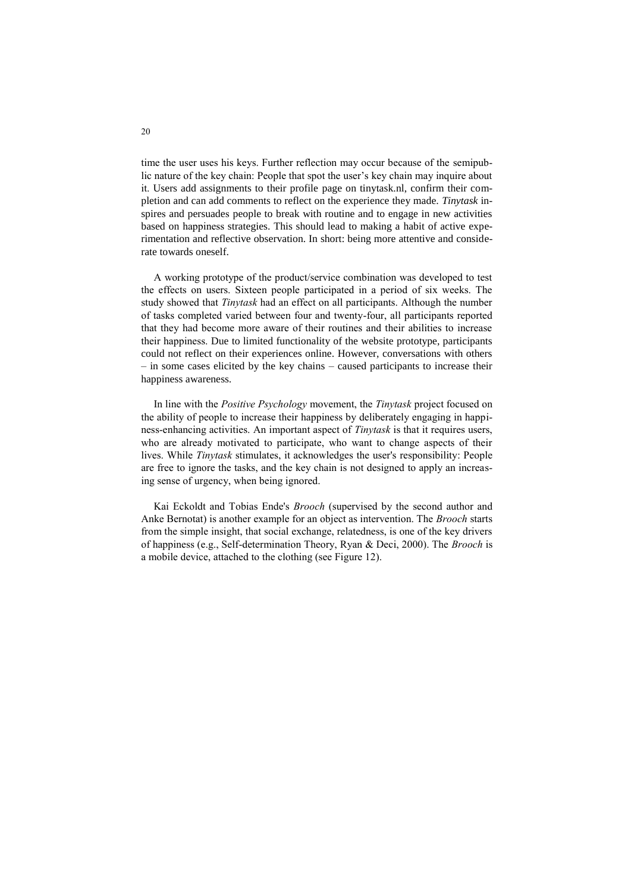time the user uses his keys. Further reflection may occur because of the semipublic nature of the key chain: People that spot the user"s key chain may inquire about it. Users add assignments to their profile page on tinytask.nl, confirm their completion and can add comments to reflect on the experience they made. *Tinytask* inspires and persuades people to break with routine and to engage in new activities based on happiness strategies. This should lead to making a habit of active experimentation and reflective observation. In short: being more attentive and considerate towards oneself.

A working prototype of the product/service combination was developed to test the effects on users. Sixteen people participated in a period of six weeks. The study showed that *Tinytask* had an effect on all participants. Although the number of tasks completed varied between four and twenty-four, all participants reported that they had become more aware of their routines and their abilities to increase their happiness. Due to limited functionality of the website prototype, participants could not reflect on their experiences online. However, conversations with others – in some cases elicited by the key chains – caused participants to increase their happiness awareness.

In line with the *Positive Psychology* movement, the *Tinytask* project focused on the ability of people to increase their happiness by deliberately engaging in happiness-enhancing activities. An important aspect of *Tinytask* is that it requires users, who are already motivated to participate, who want to change aspects of their lives. While *Tinytask* stimulates, it acknowledges the user's responsibility: People are free to ignore the tasks, and the key chain is not designed to apply an increasing sense of urgency, when being ignored.

Kai Eckoldt and Tobias Ende's *Brooch* (supervised by the second author and Anke Bernotat) is another example for an object as intervention. The *Brooch* starts from the simple insight, that social exchange, relatedness, is one of the key drivers of happiness (e.g., Self-determination Theory, Ryan & Deci, 2000). The *Brooch* is a mobile device, attached to the clothing (see Figure 12).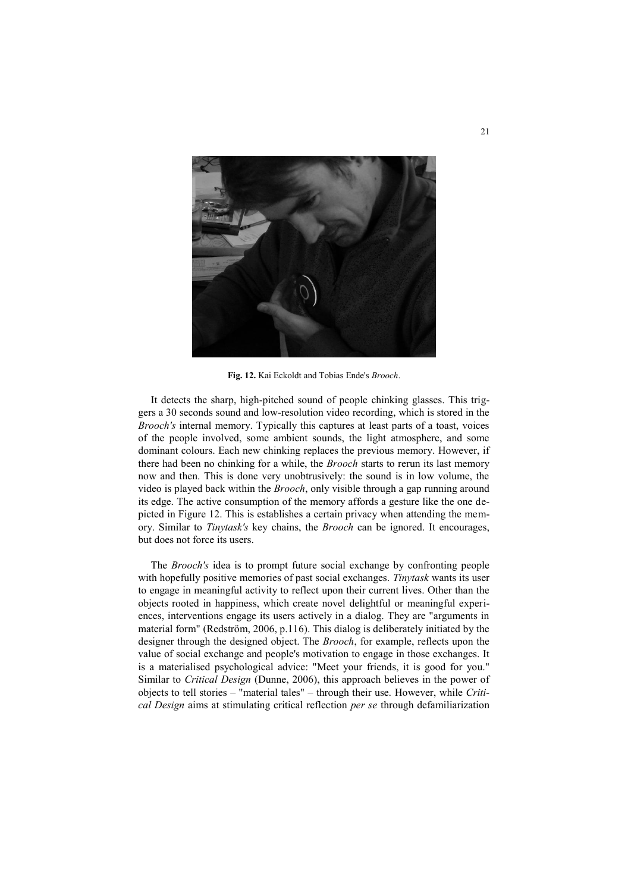

**Fig. 12.** Kai Eckoldt and Tobias Ende's *Brooch*.

It detects the sharp, high-pitched sound of people chinking glasses. This triggers a 30 seconds sound and low-resolution video recording, which is stored in the *Brooch's* internal memory. Typically this captures at least parts of a toast, voices of the people involved, some ambient sounds, the light atmosphere, and some dominant colours. Each new chinking replaces the previous memory. However, if there had been no chinking for a while, the *Brooch* starts to rerun its last memory now and then. This is done very unobtrusively: the sound is in low volume, the video is played back within the *Brooch*, only visible through a gap running around its edge. The active consumption of the memory affords a gesture like the one depicted in Figure 12. This is establishes a certain privacy when attending the memory. Similar to *Tinytask's* key chains, the *Brooch* can be ignored. It encourages, but does not force its users.

The *Brooch's* idea is to prompt future social exchange by confronting people with hopefully positive memories of past social exchanges. *Tinytask* wants its user to engage in meaningful activity to reflect upon their current lives. Other than the objects rooted in happiness, which create novel delightful or meaningful experiences, interventions engage its users actively in a dialog. They are "arguments in material form" (Redström, 2006, p.116). This dialog is deliberately initiated by the designer through the designed object. The *Brooch*, for example, reflects upon the value of social exchange and people's motivation to engage in those exchanges. It is a materialised psychological advice: "Meet your friends, it is good for you." Similar to *Critical Design* (Dunne, 2006), this approach believes in the power of objects to tell stories – "material tales" – through their use. However, while *Critical Design* aims at stimulating critical reflection *per se* through defamiliarization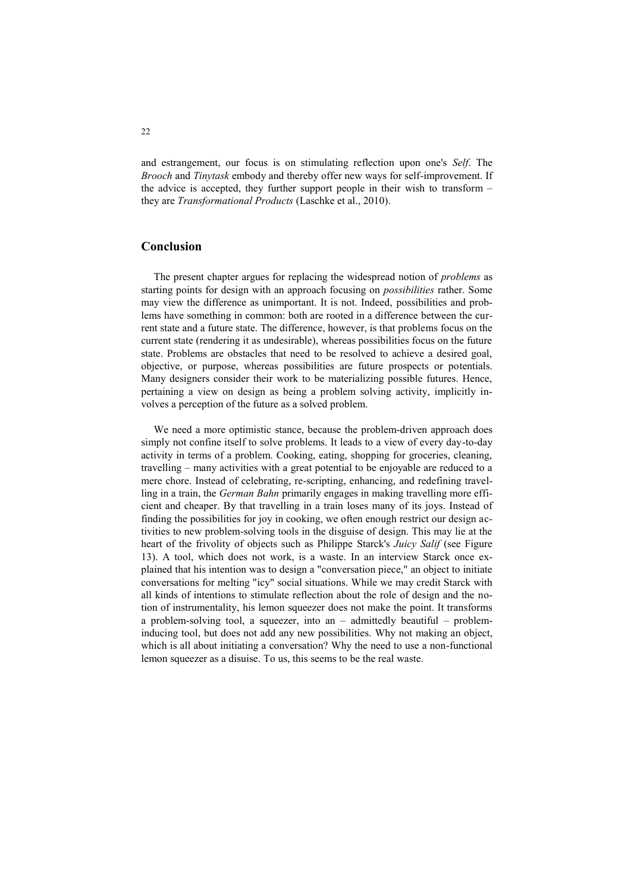and estrangement, our focus is on stimulating reflection upon one's *Self*. The *Brooch* and *Tinytask* embody and thereby offer new ways for self-improvement. If the advice is accepted, they further support people in their wish to transform – they are *Transformational Products* (Laschke et al., 2010).

#### **Conclusion**

The present chapter argues for replacing the widespread notion of *problems* as starting points for design with an approach focusing on *possibilities* rather. Some may view the difference as unimportant. It is not. Indeed, possibilities and problems have something in common: both are rooted in a difference between the current state and a future state. The difference, however, is that problems focus on the current state (rendering it as undesirable), whereas possibilities focus on the future state. Problems are obstacles that need to be resolved to achieve a desired goal, objective, or purpose, whereas possibilities are future prospects or potentials. Many designers consider their work to be materializing possible futures. Hence, pertaining a view on design as being a problem solving activity, implicitly involves a perception of the future as a solved problem.

We need a more optimistic stance, because the problem-driven approach does simply not confine itself to solve problems. It leads to a view of every day-to-day activity in terms of a problem. Cooking, eating, shopping for groceries, cleaning, travelling – many activities with a great potential to be enjoyable are reduced to a mere chore. Instead of celebrating, re-scripting, enhancing, and redefining travelling in a train, the *German Bahn* primarily engages in making travelling more efficient and cheaper. By that travelling in a train loses many of its joys. Instead of finding the possibilities for joy in cooking, we often enough restrict our design activities to new problem-solving tools in the disguise of design. This may lie at the heart of the frivolity of objects such as Philippe Starck's *Juicy Salif* (see Figure 13). A tool, which does not work, is a waste. In an interview Starck once explained that his intention was to design a "conversation piece," an object to initiate conversations for melting "icy" social situations. While we may credit Starck with all kinds of intentions to stimulate reflection about the role of design and the notion of instrumentality, his lemon squeezer does not make the point. It transforms a problem-solving tool, a squeezer, into an – admittedly beautiful – probleminducing tool, but does not add any new possibilities. Why not making an object, which is all about initiating a conversation? Why the need to use a non-functional lemon squeezer as a disuise. To us, this seems to be the real waste.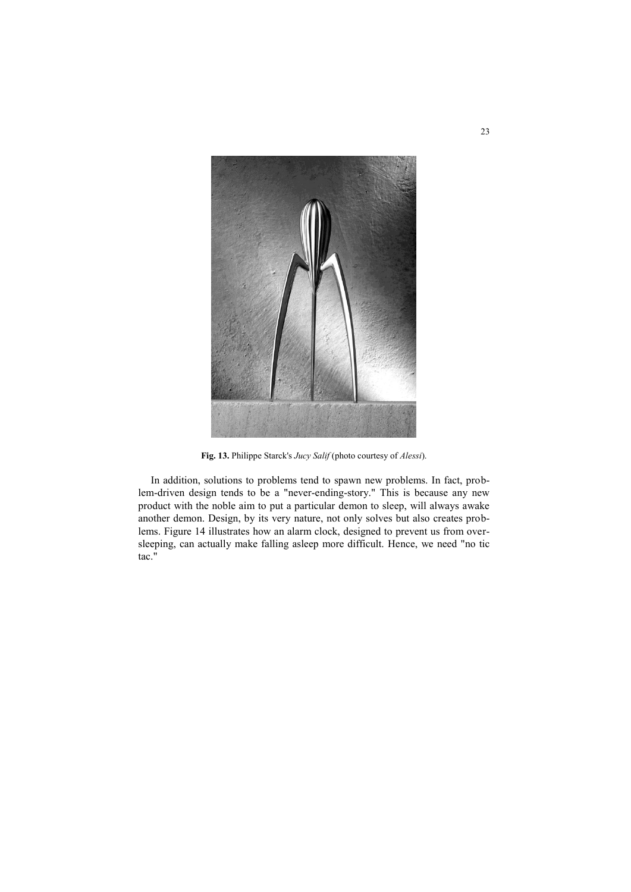

**Fig. 13.** Philippe Starck's *Jucy Salif* (photo courtesy of *Alessi*).

In addition, solutions to problems tend to spawn new problems. In fact, problem-driven design tends to be a "never-ending-story." This is because any new product with the noble aim to put a particular demon to sleep, will always awake another demon. Design, by its very nature, not only solves but also creates problems. Figure 14 illustrates how an alarm clock, designed to prevent us from oversleeping, can actually make falling asleep more difficult. Hence, we need "no tic tac."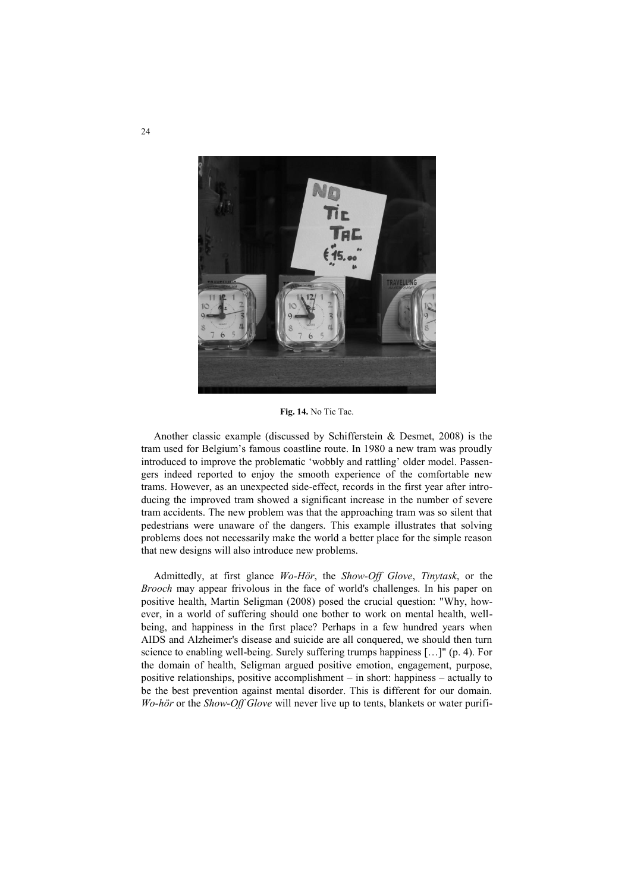

**Fig. 14.** No Tic Tac.

Another classic example (discussed by Schifferstein & Desmet, 2008) is the tram used for Belgium"s famous coastline route. In 1980 a new tram was proudly introduced to improve the problematic 'wobbly and rattling' older model. Passengers indeed reported to enjoy the smooth experience of the comfortable new trams. However, as an unexpected side-effect, records in the first year after introducing the improved tram showed a significant increase in the number of severe tram accidents. The new problem was that the approaching tram was so silent that pedestrians were unaware of the dangers. This example illustrates that solving problems does not necessarily make the world a better place for the simple reason that new designs will also introduce new problems.

Admittedly, at first glance *Wo-Hör*, the *Show-Off Glove*, *Tinytask*, or the *Brooch* may appear frivolous in the face of world's challenges. In his paper on positive health, Martin Seligman (2008) posed the crucial question: "Why, however, in a world of suffering should one bother to work on mental health, wellbeing, and happiness in the first place? Perhaps in a few hundred years when AIDS and Alzheimer's disease and suicide are all conquered, we should then turn science to enabling well-being. Surely suffering trumps happiness […]" (p. 4). For the domain of health, Seligman argued positive emotion, engagement, purpose, positive relationships, positive accomplishment – in short: happiness – actually to be the best prevention against mental disorder. This is different for our domain. *Wo-hör* or the *Show-Off Glove* will never live up to tents, blankets or water purifi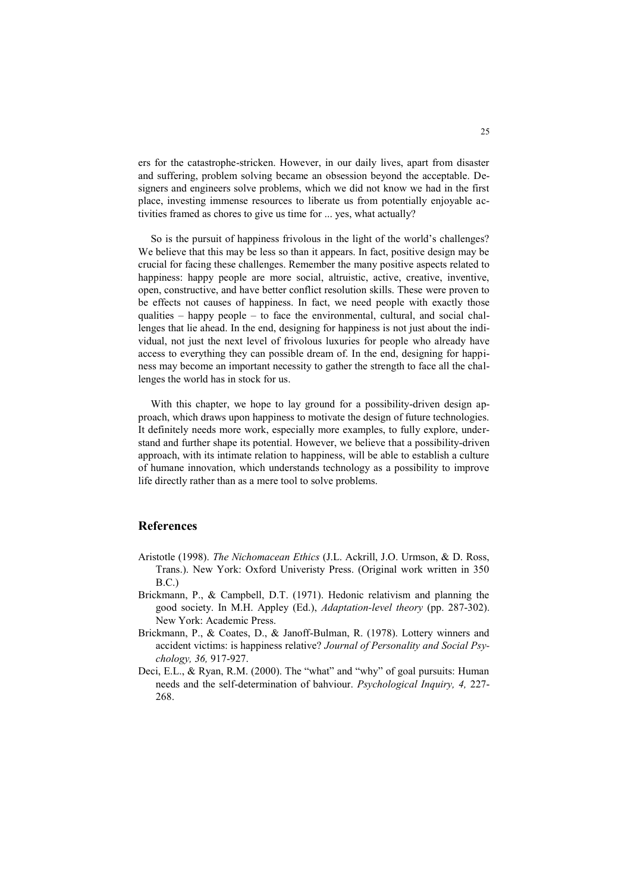ers for the catastrophe-stricken. However, in our daily lives, apart from disaster and suffering, problem solving became an obsession beyond the acceptable. Designers and engineers solve problems, which we did not know we had in the first place, investing immense resources to liberate us from potentially enjoyable activities framed as chores to give us time for ... yes, what actually?

So is the pursuit of happiness frivolous in the light of the world's challenges? We believe that this may be less so than it appears. In fact, positive design may be crucial for facing these challenges. Remember the many positive aspects related to happiness: happy people are more social, altruistic, active, creative, inventive, open, constructive, and have better conflict resolution skills. These were proven to be effects not causes of happiness. In fact, we need people with exactly those qualities – happy people – to face the environmental, cultural, and social challenges that lie ahead. In the end, designing for happiness is not just about the individual, not just the next level of frivolous luxuries for people who already have access to everything they can possible dream of. In the end, designing for happiness may become an important necessity to gather the strength to face all the challenges the world has in stock for us.

With this chapter, we hope to lay ground for a possibility-driven design approach, which draws upon happiness to motivate the design of future technologies. It definitely needs more work, especially more examples, to fully explore, understand and further shape its potential. However, we believe that a possibility-driven approach, with its intimate relation to happiness, will be able to establish a culture of humane innovation, which understands technology as a possibility to improve life directly rather than as a mere tool to solve problems.

## **References**

- Aristotle (1998). *The Nichomacean Ethics* (J.L. Ackrill, J.O. Urmson, & D. Ross, Trans.). New York: Oxford Univeristy Press. (Original work written in 350 B.C.)
- Brickmann, P., & Campbell, D.T. (1971). Hedonic relativism and planning the good society. In M.H. Appley (Ed.), *Adaptation-level theory* (pp. 287-302). New York: Academic Press.
- Brickmann, P., & Coates, D., & Janoff-Bulman, R. (1978). Lottery winners and accident victims: is happiness relative? *Journal of Personality and Social Psychology, 36,* 917-927.
- Deci, E.L., & Ryan, R.M. (2000). The "what" and "why" of goal pursuits: Human needs and the self-determination of bahviour. *Psychological Inquiry, 4,* 227- 268.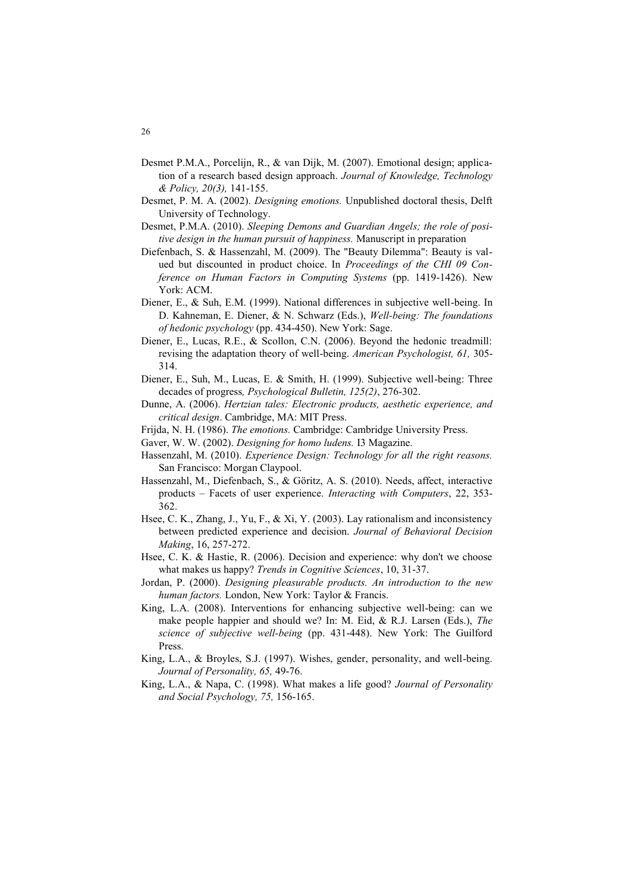- Desmet P.M.A., Porcelijn, R., & van Dijk, M. (2007). Emotional design; application of a research based design approach. *Journal of Knowledge, Technology & Policy, 20(3),* 141-155.
- Desmet, P. M. A. (2002). *Designing emotions.* Unpublished doctoral thesis, Delft University of Technology.
- Desmet, P.M.A. (2010). *Sleeping Demons and Guardian Angels; the role of positive design in the human pursuit of happiness.* Manuscript in preparation
- Diefenbach, S. & Hassenzahl, M. (2009). The "Beauty Dilemma": Beauty is valued but discounted in product choice. In *Proceedings of the CHI 09 Conference on Human Factors in Computing Systems* (pp. 1419-1426). New York: ACM.
- Diener, E., & Suh, E.M. (1999). National differences in subjective well-being. In D. Kahneman, E. Diener, & N. Schwarz (Eds.), *Well-being: The foundations of hedonic psychology* (pp. 434-450). New York: Sage.
- Diener, E., Lucas, R.E., & Scollon, C.N. (2006). Beyond the hedonic treadmill: revising the adaptation theory of well-being. *American Psychologist, 61,* 305- 314.
- Diener, E., Suh, M., Lucas, E. & Smith, H. (1999). Subjective well-being: Three decades of progress*, Psychological Bulletin, 125(2)*, 276-302.
- Dunne, A. (2006). *Hertzian tales: Electronic products, aesthetic experience, and critical design*. Cambridge, MA: MIT Press.
- Frijda, N. H. (1986). *The emotions.* Cambridge: Cambridge University Press.
- Gaver, W. W. (2002). *Designing for homo ludens.* I3 Magazine.
- Hassenzahl, M. (2010). *Experience Design: Technology for all the right reasons.* San Francisco: Morgan Claypool.
- Hassenzahl, M., Diefenbach, S., & Göritz, A. S. (2010). Needs, affect, interactive products – Facets of user experience. *Interacting with Computers*, 22, 353- 362.
- Hsee, C. K., Zhang, J., Yu, F., & Xi, Y. (2003). Lay rationalism and inconsistency between predicted experience and decision. *Journal of Behavioral Decision Making*, 16, 257-272.
- Hsee, C. K. & Hastie, R. (2006). Decision and experience: why don't we choose what makes us happy? *Trends in Cognitive Sciences*, 10, 31-37.
- Jordan, P. (2000). *Designing pleasurable products. An introduction to the new human factors.* London, New York: Taylor & Francis.
- King, L.A. (2008). Interventions for enhancing subjective well-being: can we make people happier and should we? In: M. Eid, & R.J. Larsen (Eds.), *The science of subjective well-being* (pp. 431-448). New York: The Guilford Press.
- King, L.A., & Broyles, S.J. (1997). Wishes, gender, personality, and well-being. *Journal of Personality, 65,* 49-76.
- King, L.A., & Napa, C. (1998). What makes a life good? *Journal of Personality and Social Psychology, 75,* 156-165.